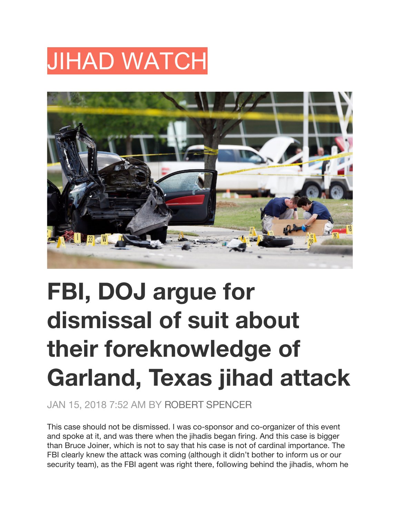## JIHAD WATCH



## **FBI, DOJ argue for dismissal of suit about their foreknowledge of Garland, Texas jihad attack**

JAN 15, 2018 7:52 AM BY ROBERT SPENCER

This case should not be dismissed. I was co-sponsor and co-organizer of this event and spoke at it, and was there when the jihadis began firing. And this case is bigger than Bruce Joiner, which is not to say that his case is not of cardinal importance. The FBI clearly knew the attack was coming (although it didn't bother to inform us or our security team), as the FBI agent was right there, following behind the jihadis, whom he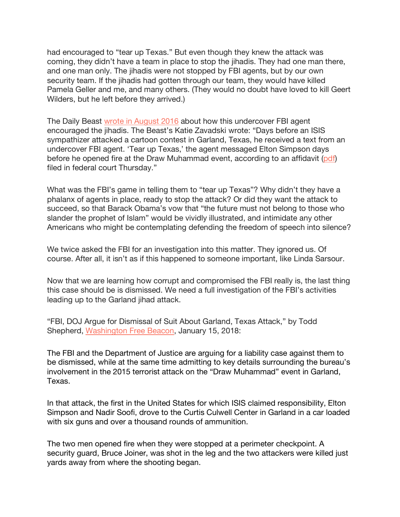had encouraged to "tear up Texas." But even though they knew the attack was coming, they didn't have a team in place to stop the jihadis. They had one man there, and one man only. The jihadis were not stopped by FBI agents, but by our own security team. If the jihadis had gotten through our team, they would have killed Pamela Geller and me, and many others. (They would no doubt have loved to kill Geert Wilders, but he left before they arrived.)

The Daily Beast wrote in August 2016 about how this undercover FBI agent encouraged the jihadis. The Beast's Katie Zavadski wrote: "Days before an ISIS sympathizer attacked a cartoon contest in Garland, Texas, he received a text from an undercover FBI agent. 'Tear up Texas,' the agent messaged Elton Simpson days before he opened fire at the Draw Muhammad event, according to an affidavit (pdf) filed in federal court Thursday."

What was the FBI's game in telling them to "tear up Texas"? Why didn't they have a phalanx of agents in place, ready to stop the attack? Or did they want the attack to succeed, so that Barack Obama's vow that "the future must not belong to those who slander the prophet of Islam" would be vividly illustrated, and intimidate any other Americans who might be contemplating defending the freedom of speech into silence?

We twice asked the FBI for an investigation into this matter. They ignored us. Of course. After all, it isn't as if this happened to someone important, like Linda Sarsour.

Now that we are learning how corrupt and compromised the FBI really is, the last thing this case should be is dismissed. We need a full investigation of the FBI's activities leading up to the Garland jihad attack.

"FBI, DOJ Argue for Dismissal of Suit About Garland, Texas Attack," by Todd Shepherd, Washington Free Beacon, January 15, 2018:

The FBI and the Department of Justice are arguing for a liability case against them to be dismissed, while at the same time admitting to key details surrounding the bureau's involvement in the 2015 terrorist attack on the "Draw Muhammad" event in Garland, Texas.

In that attack, the first in the United States for which ISIS claimed responsibility, Elton Simpson and Nadir Soofi, drove to the Curtis Culwell Center in Garland in a car loaded with six guns and over a thousand rounds of ammunition.

The two men opened fire when they were stopped at a perimeter checkpoint. A security guard, Bruce Joiner, was shot in the leg and the two attackers were killed just yards away from where the shooting began.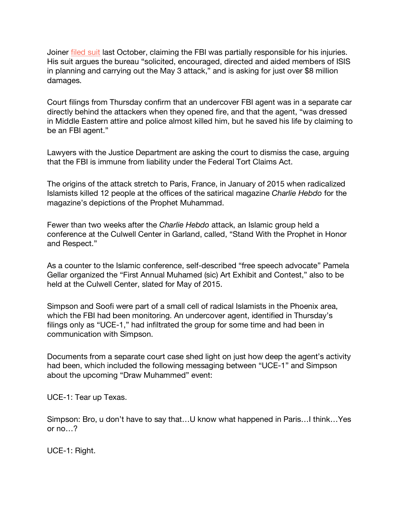Joiner filed suit last October, claiming the FBI was partially responsible for his injuries. His suit argues the bureau "solicited, encouraged, directed and aided members of ISIS in planning and carrying out the May 3 attack," and is asking for just over \$8 million damages.

Court filings from Thursday confirm that an undercover FBI agent was in a separate car directly behind the attackers when they opened fire, and that the agent, "was dressed in Middle Eastern attire and police almost killed him, but he saved his life by claiming to be an FBI agent."

Lawyers with the Justice Department are asking the court to dismiss the case, arguing that the FBI is immune from liability under the Federal Tort Claims Act.

The origins of the attack stretch to Paris, France, in January of 2015 when radicalized Islamists killed 12 people at the offices of the satirical magazine *Charlie Hebdo* for the magazine's depictions of the Prophet Muhammad.

Fewer than two weeks after the *Charlie Hebdo* attack, an Islamic group held a conference at the Culwell Center in Garland, called, "Stand With the Prophet in Honor and Respect."

As a counter to the Islamic conference, self-described "free speech advocate" Pamela Gellar organized the "First Annual Muhamed (sic) Art Exhibit and Contest," also to be held at the Culwell Center, slated for May of 2015.

Simpson and Soofi were part of a small cell of radical Islamists in the Phoenix area, which the FBI had been monitoring. An undercover agent, identified in Thursday's filings only as "UCE-1," had infiltrated the group for some time and had been in communication with Simpson.

Documents from a separate court case shed light on just how deep the agent's activity had been, which included the following messaging between "UCE-1" and Simpson about the upcoming "Draw Muhammed" event:

UCE-1: Tear up Texas.

Simpson: Bro, u don't have to say that…U know what happened in Paris…I think…Yes or no…?

UCE-1: Right.